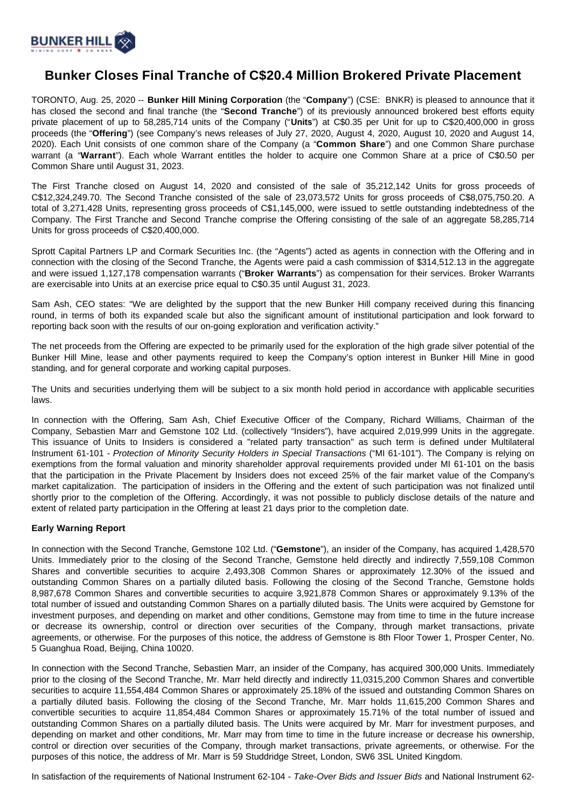

## **Bunker Closes Final Tranche of C\$20.4 Million Brokered Private Placement**

TORONTO, Aug. 25, 2020 -- **Bunker Hill Mining Corporation** (the "**Company**") (CSE: BNKR) is pleased to announce that it has closed the second and final tranche (the "**Second Tranche**") of its previously announced brokered best efforts equity private placement of up to 58,285,714 units of the Company ("**Units**") at C\$0.35 per Unit for up to C\$20,400,000 in gross proceeds (the "**Offering**") (see Company's news releases of July 27, 2020, August 4, 2020, August 10, 2020 and August 14, 2020). Each Unit consists of one common share of the Company (a "**Common Share**") and one Common Share purchase warrant (a "**Warrant**"). Each whole Warrant entitles the holder to acquire one Common Share at a price of C\$0.50 per Common Share until August 31, 2023.

The First Tranche closed on August 14, 2020 and consisted of the sale of 35,212,142 Units for gross proceeds of C\$12,324,249.70. The Second Tranche consisted of the sale of 23,073,572 Units for gross proceeds of C\$8,075,750.20. A total of 3,271,428 Units, representing gross proceeds of C\$1,145,000, were issued to settle outstanding indebtedness of the Company. The First Tranche and Second Tranche comprise the Offering consisting of the sale of an aggregate 58,285,714 Units for gross proceeds of C\$20,400,000.

Sprott Capital Partners LP and Cormark Securities Inc. (the "Agents") acted as agents in connection with the Offering and in connection with the closing of the Second Tranche, the Agents were paid a cash commission of \$314,512.13 in the aggregate and were issued 1,127,178 compensation warrants ("**Broker Warrants**") as compensation for their services. Broker Warrants are exercisable into Units at an exercise price equal to C\$0.35 until August 31, 2023.

Sam Ash, CEO states: "We are delighted by the support that the new Bunker Hill company received during this financing round, in terms of both its expanded scale but also the significant amount of institutional participation and look forward to reporting back soon with the results of our on-going exploration and verification activity."

The net proceeds from the Offering are expected to be primarily used for the exploration of the high grade silver potential of the Bunker Hill Mine, lease and other payments required to keep the Company's option interest in Bunker Hill Mine in good standing, and for general corporate and working capital purposes.

The Units and securities underlying them will be subject to a six month hold period in accordance with applicable securities laws.

In connection with the Offering, Sam Ash, Chief Executive Officer of the Company, Richard Williams, Chairman of the Company, Sebastien Marr and Gemstone 102 Ltd. (collectively "Insiders"), have acquired 2,019,999 Units in the aggregate. This issuance of Units to Insiders is considered a "related party transaction" as such term is defined under Multilateral Instrument 61-101 - Protection of Minority Security Holders in Special Transactions ("MI 61-101"). The Company is relying on exemptions from the formal valuation and minority shareholder approval requirements provided under MI 61-101 on the basis that the participation in the Private Placement by Insiders does not exceed 25% of the fair market value of the Company's market capitalization. The participation of insiders in the Offering and the extent of such participation was not finalized until shortly prior to the completion of the Offering. Accordingly, it was not possible to publicly disclose details of the nature and extent of related party participation in the Offering at least 21 days prior to the completion date.

## **Early Warning Report**

In connection with the Second Tranche, Gemstone 102 Ltd. ("**Gemstone**"), an insider of the Company, has acquired 1,428,570 Units. Immediately prior to the closing of the Second Tranche, Gemstone held directly and indirectly 7,559,108 Common Shares and convertible securities to acquire 2,493,308 Common Shares or approximately 12.30% of the issued and outstanding Common Shares on a partially diluted basis. Following the closing of the Second Tranche, Gemstone holds 8,987,678 Common Shares and convertible securities to acquire 3,921,878 Common Shares or approximately 9.13% of the total number of issued and outstanding Common Shares on a partially diluted basis. The Units were acquired by Gemstone for investment purposes, and depending on market and other conditions, Gemstone may from time to time in the future increase or decrease its ownership, control or direction over securities of the Company, through market transactions, private agreements, or otherwise. For the purposes of this notice, the address of Gemstone is 8th Floor Tower 1, Prosper Center, No. 5 Guanghua Road, Beijing, China 10020.

In connection with the Second Tranche, Sebastien Marr, an insider of the Company, has acquired 300,000 Units. Immediately prior to the closing of the Second Tranche, Mr. Marr held directly and indirectly 11,0315,200 Common Shares and convertible securities to acquire 11,554,484 Common Shares or approximately 25.18% of the issued and outstanding Common Shares on a partially diluted basis. Following the closing of the Second Tranche, Mr. Marr holds 11,615,200 Common Shares and convertible securities to acquire 11,854,484 Common Shares or approximately 15.71% of the total number of issued and outstanding Common Shares on a partially diluted basis. The Units were acquired by Mr. Marr for investment purposes, and depending on market and other conditions, Mr. Marr may from time to time in the future increase or decrease his ownership, control or direction over securities of the Company, through market transactions, private agreements, or otherwise. For the purposes of this notice, the address of Mr. Marr is 59 Studdridge Street, London, SW6 3SL United Kingdom.

In satisfaction of the requirements of National Instrument 62-104 - Take-Over Bids and Issuer Bids and National Instrument 62-